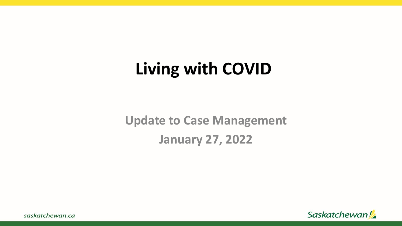### **Living with COVID**

**Update to Case Management January 27, 2022**

Saskatchewan!

saskatchewan.ca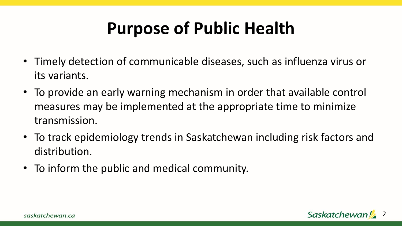## **Purpose of Public Health**

- Timely detection of communicable diseases, such as influenza virus or its variants.
- To provide an early warning mechanism in order that available control measures may be implemented at the appropriate time to minimize transmission.
- To track epidemiology trends in Saskatchewan including risk factors and distribution.
- To inform the public and medical community.

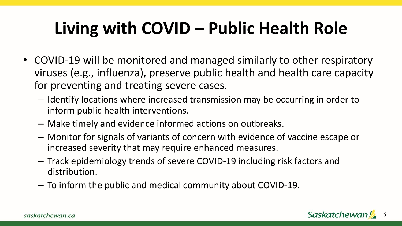## **Living with COVID – Public Health Role**

- COVID-19 will be monitored and managed similarly to other respiratory viruses (e.g., influenza), preserve public health and health care capacity for preventing and treating severe cases.
	- Identify locations where increased transmission may be occurring in order to inform public health interventions.
	- Make timely and evidence informed actions on outbreaks.
	- Monitor for signals of variants of concern with evidence of vaccine escape or increased severity that may require enhanced measures.
	- Track epidemiology trends of severe COVID-19 including risk factors and distribution.
	- To inform the public and medical community about COVID-19.

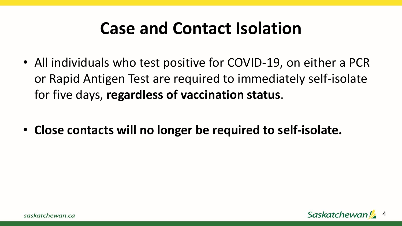#### **Case and Contact Isolation**

- All individuals who test positive for COVID-19, on either a PCR or Rapid Antigen Test are required to immediately self-isolate for five days, **regardless of vaccination status**.
- **Close contacts will no longer be required to self-isolate.**

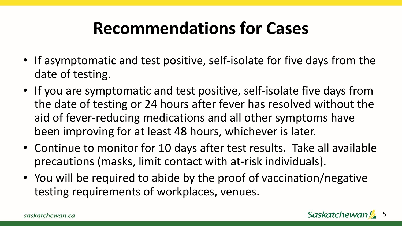### **Recommendations for Cases**

- If asymptomatic and test positive, self-isolate for five days from the date of testing.
- If you are symptomatic and test positive, self-isolate five days from the date of testing or 24 hours after fever has resolved without the aid of fever-reducing medications and all other symptoms have been improving for at least 48 hours, whichever is later.
- Continue to monitor for 10 days after test results. Take all available precautions (masks, limit contact with at-risk individuals).
- You will be required to abide by the proof of vaccination/negative testing requirements of workplaces, venues.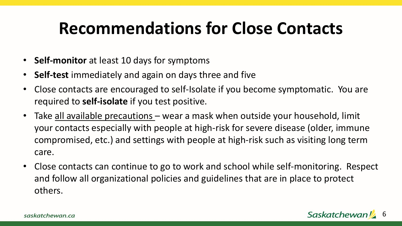### **Recommendations for Close Contacts**

- **Self-monitor** at least 10 days for symptoms
- **Self-test** immediately and again on days three and five
- Close contacts are encouraged to self-Isolate if you become symptomatic. You are required to **self-isolate** if you test positive.
- Take all available precautions wear a mask when outside your household, limit your contacts especially with people at high-risk for severe disease (older, immune compromised, etc.) and settings with people at high-risk such as visiting long term care.
- Close contacts can continue to go to work and school while self-monitoring. Respect and follow all organizational policies and guidelines that are in place to protect others.

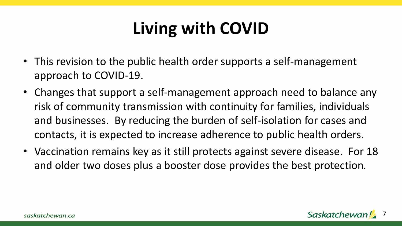# **Living with COVID**

- This revision to the public health order supports a self-management approach to COVID-19.
- Changes that support a self-management approach need to balance any risk of community transmission with continuity for families, individuals and businesses. By reducing the burden of self-isolation for cases and contacts, it is expected to increase adherence to public health orders.
- Vaccination remains key as it still protects against severe disease. For 18 and older two doses plus a booster dose provides the best protection*.*